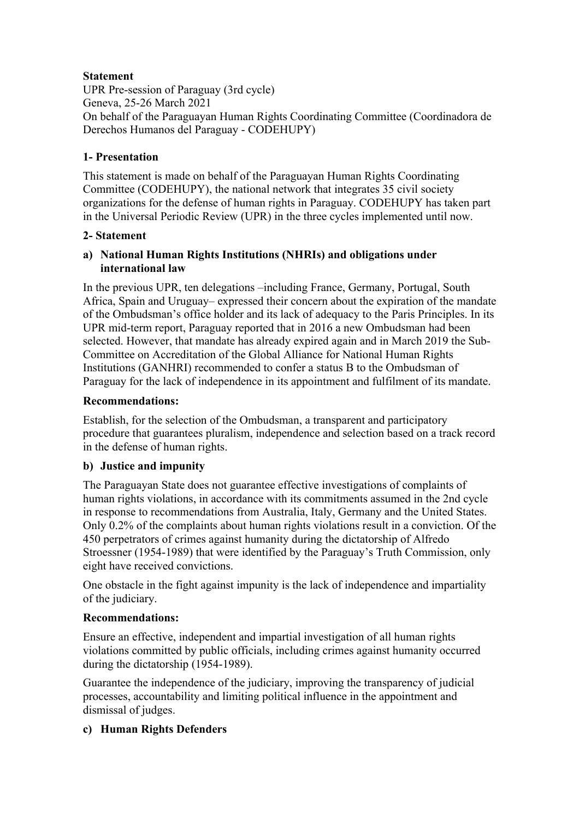# **Statement**

UPR Pre-session of Paraguay (3rd cycle) Geneva, 25-26 March 2021 On behalf of the Paraguayan Human Rights Coordinating Committee (Coordinadora de Derechos Humanos del Paraguay - CODEHUPY)

# **1- Presentation**

This statement is made on behalf of the Paraguayan Human Rights Coordinating Committee (CODEHUPY), the national network that integrates 35 civil society organizations for the defense of human rights in Paraguay. CODEHUPY has taken part in the Universal Periodic Review (UPR) in the three cycles implemented until now.

### **2- Statement**

# **a) National Human Rights Institutions (NHRIs) and obligations under international law**

In the previous UPR, ten delegations –including France, Germany, Portugal, South Africa, Spain and Uruguay– expressed their concern about the expiration of the mandate of the Ombudsman's office holder and its lack of adequacy to the Paris Principles. In its UPR mid-term report, Paraguay reported that in 2016 a new Ombudsman had been selected. However, that mandate has already expired again and in March 2019 the Sub-Committee on Accreditation of the Global Alliance for National Human Rights Institutions (GANHRI) recommended to confer a status B to the Ombudsman of Paraguay for the lack of independence in its appointment and fulfilment of its mandate.

### **Recommendations:**

Establish, for the selection of the Ombudsman, a transparent and participatory procedure that guarantees pluralism, independence and selection based on a track record in the defense of human rights.

# **b) Justice and impunity**

The Paraguayan State does not guarantee effective investigations of complaints of human rights violations, in accordance with its commitments assumed in the 2nd cycle in response to recommendations from Australia, Italy, Germany and the United States. Only 0.2% of the complaints about human rights violations result in a conviction. Of the 450 perpetrators of crimes against humanity during the dictatorship of Alfredo Stroessner (1954-1989) that were identified by the Paraguay's Truth Commission, only eight have received convictions.

One obstacle in the fight against impunity is the lack of independence and impartiality of the judiciary.

# **Recommendations:**

Ensure an effective, independent and impartial investigation of all human rights violations committed by public officials, including crimes against humanity occurred during the dictatorship (1954-1989).

Guarantee the independence of the judiciary, improving the transparency of judicial processes, accountability and limiting political influence in the appointment and dismissal of judges.

# **c) Human Rights Defenders**